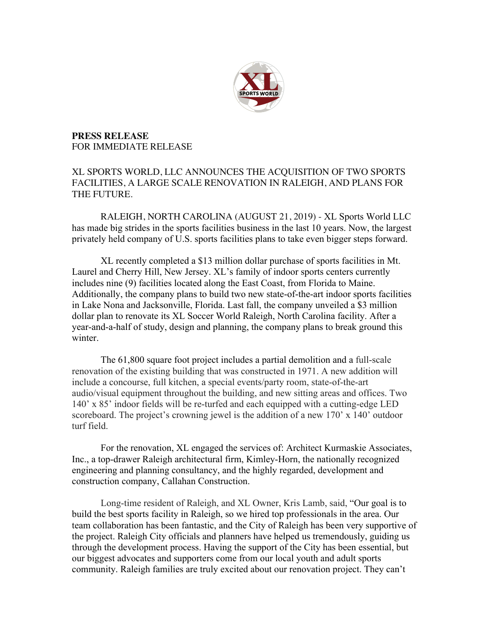

**PRESS RELEASE** FOR IMMEDIATE RELEASE

## XL SPORTS WORLD, LLC ANNOUNCES THE ACQUISITION OF TWO SPORTS FACILITIES, A LARGE SCALE RENOVATION IN RALEIGH, AND PLANS FOR THE FUTURE.

RALEIGH, NORTH CAROLINA (AUGUST 21, 2019) - XL Sports World LLC has made big strides in the sports facilities business in the last 10 years. Now, the largest privately held company of U.S. sports facilities plans to take even bigger steps forward.

XL recently completed a \$13 million dollar purchase of sports facilities in Mt. Laurel and Cherry Hill, New Jersey. XL's family of indoor sports centers currently includes nine (9) facilities located along the East Coast, from Florida to Maine. Additionally, the company plans to build two new state-of-the-art indoor sports facilities in Lake Nona and Jacksonville, Florida. Last fall, the company unveiled a \$3 million dollar plan to renovate its XL Soccer World Raleigh, North Carolina facility. After a year-and-a-half of study, design and planning, the company plans to break ground this winter

The 61,800 square foot project includes a partial demolition and a full-scale renovation of the existing building that was constructed in 1971. A new addition will include a concourse, full kitchen, a special events/party room, state-of-the-art audio/visual equipment throughout the building, and new sitting areas and offices. Two 140' x 85' indoor fields will be re-turfed and each equipped with a cutting-edge LED scoreboard. The project's crowning jewel is the addition of a new 170' x 140' outdoor turf field.

For the renovation, XL engaged the services of: Architect Kurmaskie Associates, Inc., a top-drawer Raleigh architectural firm, Kimley-Horn, the nationally recognized engineering and planning consultancy, and the highly regarded, development and construction company, Callahan Construction.

Long-time resident of Raleigh, and XL Owner, Kris Lamb, said, "Our goal is to build the best sports facility in Raleigh, so we hired top professionals in the area. Our team collaboration has been fantastic, and the City of Raleigh has been very supportive of the project. Raleigh City officials and planners have helped us tremendously, guiding us through the development process. Having the support of the City has been essential, but our biggest advocates and supporters come from our local youth and adult sports community. Raleigh families are truly excited about our renovation project. They can't